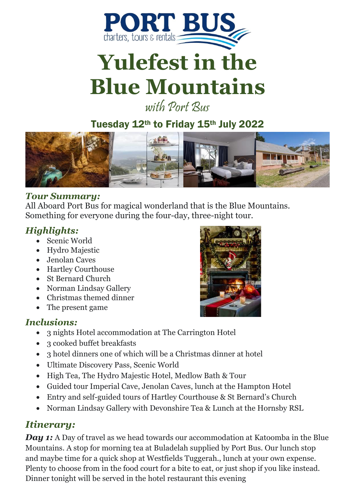

# **Yulefest in the Blue Mountains**

with Port Rus

Tuesday 12th to Friday 15th July 2022



#### *Tour Summary:*

All Aboard Port Bus for magical wonderland that is the Blue Mountains. Something for everyone during the four-day, three-night tour.

## *Highlights:*

- Scenic World
- Hydro Majestic
- Jenolan Caves
- Hartley Courthouse
- St Bernard Church
- Norman Lindsay Gallery
- Christmas themed dinner
- The present game

#### *Inclusions:*

- 3 nights Hotel accommodation at The Carrington Hotel
- 3 cooked buffet breakfasts
- 3 hotel dinners one of which will be a Christmas dinner at hotel
- Ultimate Discovery Pass, Scenic World
- High Tea, The Hydro Majestic Hotel, Medlow Bath & Tour
- Guided tour Imperial Cave, Jenolan Caves, lunch at the Hampton Hotel
- Entry and self-guided tours of Hartley Courthouse & St Bernard's Church
- Norman Lindsay Gallery with Devonshire Tea & Lunch at the Hornsby RSL

# *Itinerary:*

*Day 1:* A Day of travel as we head towards our accommodation at Katoomba in the Blue Mountains. A stop for morning tea at Buladelah supplied by Port Bus. Our lunch stop and maybe time for a quick shop at Westfields Tuggerah., lunch at your own expense. Plenty to choose from in the food court for a bite to eat, or just shop if you like instead. Dinner tonight will be served in the hotel restaurant this evening